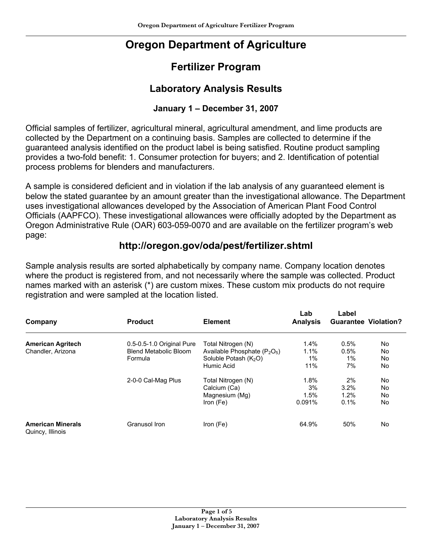# **Oregon Department of Agriculture**

## **Fertilizer Program**

### **Laboratory Analysis Results**

#### **January 1 – December 31, 2007**

Official samples of fertilizer, agricultural mineral, agricultural amendment, and lime products are collected by the Department on a continuing basis. Samples are collected to determine if the guaranteed analysis identified on the product label is being satisfied. Routine product sampling provides a two-fold benefit: 1. Consumer protection for buyers; and 2. Identification of potential process problems for blenders and manufacturers.

A sample is considered deficient and in violation if the lab analysis of any guaranteed element is below the stated guarantee by an amount greater than the investigational allowance. The Department uses investigational allowances developed by the Association of American Plant Food Control Officials (AAPFCO). These investigational allowances were officially adopted by the Department as Oregon Administrative Rule (OAR) 603-059-0070 and are available on the fertilizer program's web page:

#### **http://oregon.gov/oda/pest/fertilizer.shtml**

Sample analysis results are sorted alphabetically by company name. Company location denotes where the product is registered from, and not necessarily where the sample was collected. Product names marked with an asterisk (\*) are custom mixes. These custom mix products do not require registration and were sampled at the location listed.

| Company                                      | <b>Product</b>            | <b>Element</b>                    | Lab<br><b>Analysis</b> | Label<br><b>Guarantee Violation?</b> |           |
|----------------------------------------------|---------------------------|-----------------------------------|------------------------|--------------------------------------|-----------|
| <b>American Agritech</b>                     | 0.5-0.5-1.0 Original Pure | Total Nitrogen (N)                | 1.4%                   | 0.5%                                 | No        |
| Chandler, Arizona                            | Blend Metabolic Bloom     | Available Phosphate $(P_2O_5)$    | 1.1%                   | 0.5%                                 | No        |
|                                              | Formula                   | Soluble Potash (K <sub>2</sub> O) | 1%                     | 1%                                   | No        |
|                                              |                           | Humic Acid                        | 11%                    | 7%                                   | <b>No</b> |
|                                              | 2-0-0 Cal-Mag Plus        | Total Nitrogen (N)                | 1.8%                   | 2%                                   | No.       |
|                                              |                           | Calcium (Ca)                      | 3%                     | 3.2%                                 | No        |
|                                              |                           | Magnesium (Mg)                    | 1.5%                   | 1.2%                                 | No        |
|                                              |                           | Iron (Fe)                         | 0.091%                 | 0.1%                                 | No        |
| <b>American Minerals</b><br>Quincy, Illinois | Granusol Iron             | Iron (Fe)                         | 64.9%                  | 50%                                  | <b>No</b> |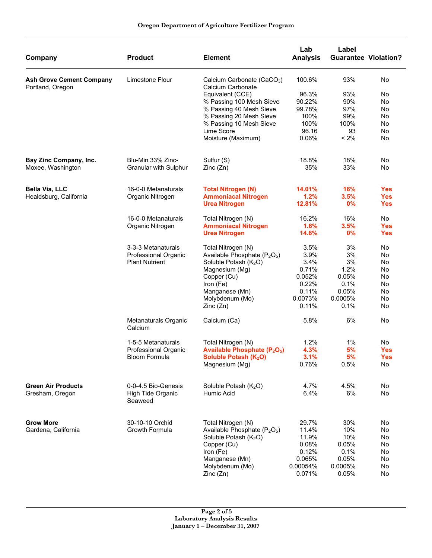| Company                                             | <b>Product</b>                  | <b>Element</b>                                              | Lab<br><b>Analysis</b> | Label   | <b>Guarantee Violation?</b> |
|-----------------------------------------------------|---------------------------------|-------------------------------------------------------------|------------------------|---------|-----------------------------|
| <b>Ash Grove Cement Company</b><br>Portland, Oregon | Limestone Flour                 | Calcium Carbonate (CaCO <sub>3</sub> )<br>Calcium Carbonate | 100.6%                 | 93%     | No                          |
|                                                     |                                 | Equivalent (CCE)                                            | 96.3%                  | 93%     | No                          |
|                                                     |                                 | % Passing 100 Mesh Sieve                                    | 90.22%                 | 90%     | No                          |
|                                                     |                                 | % Passing 40 Mesh Sieve                                     | 99.78%                 | 97%     | No                          |
|                                                     |                                 | % Passing 20 Mesh Sieve                                     | 100%                   | 99%     | No                          |
|                                                     |                                 | % Passing 10 Mesh Sieve                                     | 100%                   | 100%    | No                          |
|                                                     |                                 | Lime Score                                                  | 96.16                  | 93      | No                          |
|                                                     |                                 | Moisture (Maximum)                                          | 0.06%                  | $< 2\%$ | No                          |
| Bay Zinc Company, Inc.                              | Blu-Min 33% Zinc-               | Sulfur (S)                                                  | 18.8%                  | 18%     | No                          |
| Moxee, Washington                                   | Granular with Sulphur           | Zinc(Zn)                                                    | 35%                    | 33%     | No                          |
|                                                     |                                 |                                                             |                        |         |                             |
| <b>Bella Via, LLC</b>                               | 16-0-0 Metanaturals             | <b>Total Nitrogen (N)</b>                                   | 14.01%                 | 16%     | <b>Yes</b>                  |
| Healdsburg, California                              | Organic Nitrogen                | <b>Ammoniacal Nitrogen</b>                                  | 1.2%                   | 3.5%    | <b>Yes</b>                  |
|                                                     |                                 | <b>Urea Nitrogen</b>                                        | 12.81%                 | 0%      | <b>Yes</b>                  |
|                                                     | 16-0-0 Metanaturals             | Total Nitrogen (N)                                          | 16.2%                  | 16%     | No                          |
|                                                     | Organic Nitrogen                | <b>Ammoniacal Nitrogen</b>                                  | 1.6%                   | 3.5%    | <b>Yes</b>                  |
|                                                     |                                 | <b>Urea Nitrogen</b>                                        | 14.6%                  | 0%      | <b>Yes</b>                  |
|                                                     | 3-3-3 Metanaturals              | Total Nitrogen (N)                                          | 3.5%                   | 3%      | No                          |
|                                                     | Professional Organic            | Available Phosphate (P <sub>2</sub> O <sub>5</sub> )        | 3.9%                   | 3%      | No                          |
|                                                     | <b>Plant Nutrient</b>           | Soluble Potash (K <sub>2</sub> O)                           | 3.4%                   | 3%      | No                          |
|                                                     |                                 | Magnesium (Mg)                                              | 0.71%                  | 1.2%    | No                          |
|                                                     |                                 | Copper (Cu)                                                 | 0.052%                 | 0.05%   | No                          |
|                                                     |                                 | Iron (Fe)                                                   | 0.22%                  | 0.1%    | No                          |
|                                                     |                                 | Manganese (Mn)                                              | 0.11%                  | 0.05%   | No                          |
|                                                     |                                 | Molybdenum (Mo)                                             | 0.0073%                | 0.0005% | No                          |
|                                                     |                                 | Zinc(Zn)                                                    | 0.11%                  | 0.1%    | No                          |
|                                                     | Metanaturals Organic<br>Calcium | Calcium (Ca)                                                | 5.8%                   | 6%      | No                          |
|                                                     | 1-5-5 Metanaturals              | Total Nitrogen (N)                                          | 1.2%                   | 1%      | No                          |
|                                                     | Professional Organic            | <b>Available Phosphate (P<sub>2</sub>O<sub>5</sub>)</b>     | 4.3%                   | 5%      | <b>Yes</b>                  |
|                                                     | Bloom Formula                   | Soluble Potash (K <sub>2</sub> O)                           | 3.1%                   | 5%      | <b>Yes</b>                  |
|                                                     |                                 | Magnesium (Mg)                                              | 0.76%                  | 0.5%    | No                          |
| <b>Green Air Products</b>                           | 0-0-4.5 Bio-Genesis             |                                                             | 4.7%                   | 4.5%    | No                          |
| Gresham, Oregon                                     | High Tide Organic<br>Seaweed    | Soluble Potash (K <sub>2</sub> O)<br>Humic Acid             | 6.4%                   | 6%      | No                          |
| <b>Grow More</b>                                    | 30-10-10 Orchid                 | Total Nitrogen (N)                                          | 29.7%                  | 30%     | No                          |
| Gardena, California                                 | Growth Formula                  | Available Phosphate (P <sub>2</sub> O <sub>5</sub> )        | 11.4%                  | 10%     | No                          |
|                                                     |                                 | Soluble Potash (K <sub>2</sub> O)                           | 11.9%                  | 10%     | No                          |
|                                                     |                                 | Copper (Cu)                                                 | 0.08%                  | 0.05%   | No                          |
|                                                     |                                 | Iron (Fe)                                                   | 0.12%                  | 0.1%    | No                          |
|                                                     |                                 | Manganese (Mn)                                              | 0.065%                 | 0.05%   | No                          |
|                                                     |                                 | Molybdenum (Mo)                                             | 0.00054%               | 0.0005% | No                          |
|                                                     |                                 | Zinc(Zn)                                                    | 0.071%                 | 0.05%   | No                          |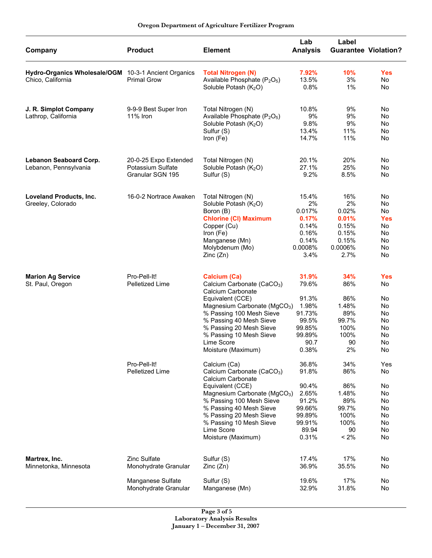| Company                                              | <b>Product</b>         | <b>Element</b>                                              | Lab<br><b>Analysis</b> | Label<br><b>Guarantee Violation?</b> |            |
|------------------------------------------------------|------------------------|-------------------------------------------------------------|------------------------|--------------------------------------|------------|
| Hydro-Organics Wholesale/OGM 10-3-1 Ancient Organics |                        | <b>Total Nitrogen (N)</b>                                   | 7.92%                  | 10%                                  | <b>Yes</b> |
| Chico, California                                    | <b>Primal Grow</b>     | Available Phosphate (P <sub>2</sub> O <sub>5</sub> )        | 13.5%                  | 3%                                   | No         |
|                                                      |                        | Soluble Potash (K <sub>2</sub> O)                           | 0.8%                   | $1\%$                                | No         |
| J. R. Simplot Company                                | 9-9-9 Best Super Iron  | Total Nitrogen (N)                                          | 10.8%                  | 9%                                   | No         |
| Lathrop, California                                  | <b>11% Iron</b>        | Available Phosphate (P <sub>2</sub> O <sub>5</sub> )        | 9%                     | 9%                                   | No         |
|                                                      |                        | Soluble Potash (K <sub>2</sub> O)                           | 9.8%                   | 9%                                   | No         |
|                                                      |                        | Sulfur (S)                                                  | 13.4%                  | 11%                                  | No         |
|                                                      |                        | Iron (Fe)                                                   | 14.7%                  | 11%                                  | No         |
| Lebanon Seaboard Corp.                               | 20-0-25 Expo Extended  | Total Nitrogen (N)                                          | 20.1%                  | 20%                                  | No         |
| Lebanon, Pennsylvania                                | Potassium Sulfate      | Soluble Potash (K <sub>2</sub> O)                           | 27.1%                  | 25%                                  | No         |
|                                                      | Granular SGN 195       | Sulfur (S)                                                  | 9.2%                   | 8.5%                                 | No         |
| <b>Loveland Products, Inc.</b>                       | 16-0-2 Nortrace Awaken | Total Nitrogen (N)                                          | 15.4%                  | 16%                                  | No         |
| Greeley, Colorado                                    |                        | Soluble Potash (K <sub>2</sub> O)                           | 2%                     | 2%                                   | No         |
|                                                      |                        | Boron (B)                                                   | 0.017%                 | 0.02%                                | No         |
|                                                      |                        | <b>Chlorine (CI) Maximum</b>                                | 0.17%                  | 0.01%                                | <b>Yes</b> |
|                                                      |                        | Copper (Cu)                                                 | 0.14%                  | 0.15%                                | No         |
|                                                      |                        | Iron (Fe)                                                   | 0.16%                  | 0.15%                                | No         |
|                                                      |                        | Manganese (Mn)<br>Molybdenum (Mo)                           | 0.14%<br>0.0008%       | 0.15%<br>0.0006%                     | No<br>No   |
|                                                      |                        | Zinc(Zn)                                                    | 3.4%                   | 2.7%                                 | No         |
| <b>Marion Ag Service</b>                             | Pro-Pell-It!           | Calcium (Ca)                                                | 31.9%                  | 34%                                  | <b>Yes</b> |
| St. Paul, Oregon                                     | Pelletized Lime        | Calcium Carbonate (CaCO <sub>3</sub> )<br>Calcium Carbonate | 79.6%                  | 86%                                  | No         |
|                                                      |                        | Equivalent (CCE)                                            | 91.3%                  | 86%                                  | No         |
|                                                      |                        | Magnesium Carbonate (MgCO <sub>3</sub> )                    | 1.98%                  | 1.48%                                | No         |
|                                                      |                        | % Passing 100 Mesh Sieve                                    | 91.73%                 | 89%                                  | No         |
|                                                      |                        | % Passing 40 Mesh Sieve                                     | 99.5%                  | 99.7%                                | No         |
|                                                      |                        | % Passing 20 Mesh Sieve                                     | 99.85%                 | 100%                                 | No         |
|                                                      |                        | % Passing 10 Mesh Sieve                                     | 99.89%                 | 100%                                 | No         |
|                                                      |                        | Lime Score<br>Moisture (Maximum)                            | 90.7<br>0.38%          | 90<br>2%                             | No<br>No   |
|                                                      | Pro-Pell-It!           | Calcium (Ca)                                                | 36.8%                  | 34%                                  | Yes        |
|                                                      | Pelletized Lime        | Calcium Carbonate (CaCO <sub>3</sub> )<br>Calcium Carbonate | 91.8%                  | 86%                                  | No         |
|                                                      |                        | Equivalent (CCE)                                            | 90.4%                  | 86%                                  | No         |
|                                                      |                        | Magnesium Carbonate (MgCO <sub>3</sub> )                    | 2.65%                  | 1.48%                                | No         |
|                                                      |                        | % Passing 100 Mesh Sieve                                    | 91.2%                  | 89%                                  | No         |
|                                                      |                        | % Passing 40 Mesh Sieve                                     | 99.66%                 | 99.7%                                | No         |
|                                                      |                        | % Passing 20 Mesh Sieve                                     | 99.89%                 | 100%                                 | No         |
|                                                      |                        | % Passing 10 Mesh Sieve                                     | 99.91%                 | 100%                                 | No         |
|                                                      |                        | Lime Score<br>Moisture (Maximum)                            | 89.94<br>0.31%         | 90<br>$< 2\%$                        | No<br>No   |
|                                                      |                        |                                                             |                        |                                      |            |
| Martrex, Inc.                                        | <b>Zinc Sulfate</b>    | Sulfur (S)                                                  | 17.4%                  | 17%                                  | No         |
| Minnetonka, Minnesota                                | Monohydrate Granular   | Zinc(Zn)                                                    | 36.9%                  | 35.5%                                | No         |
|                                                      | Manganese Sulfate      | Sulfur (S)                                                  | 19.6%                  | 17%                                  | No         |
|                                                      | Monohydrate Granular   | Manganese (Mn)                                              | 32.9%                  | 31.8%                                | No         |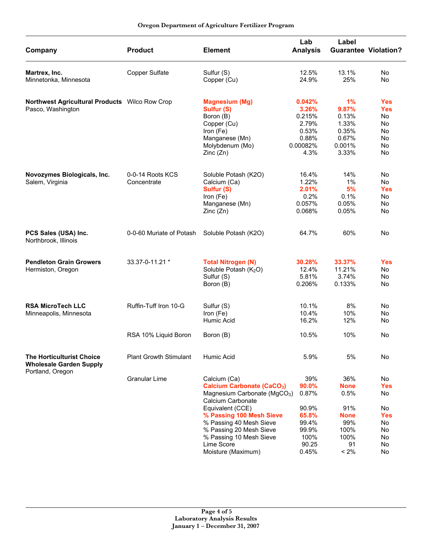| Company                                                             | <b>Product</b>                  | <b>Element</b>                                                                                                                                                                                                                                                                         | Lab<br><b>Analysis</b>                                                              | Label<br><b>Guarantee Violation?</b>                                                     |                                                                          |
|---------------------------------------------------------------------|---------------------------------|----------------------------------------------------------------------------------------------------------------------------------------------------------------------------------------------------------------------------------------------------------------------------------------|-------------------------------------------------------------------------------------|------------------------------------------------------------------------------------------|--------------------------------------------------------------------------|
| Martrex, Inc.<br>Minnetonka, Minnesota                              | Copper Sulfate                  | Sulfur (S)<br>Copper (Cu)                                                                                                                                                                                                                                                              | 12.5%<br>24.9%                                                                      | 13.1%<br>25%                                                                             | No<br><b>No</b>                                                          |
| Northwest Agricultural Products Wilco Row Crop<br>Pasco, Washington |                                 | <b>Magnesium (Mg)</b><br>Sulfur (S)<br>Boron (B)<br>Copper (Cu)<br>Iron (Fe)<br>Manganese (Mn)<br>Molybdenum (Mo)<br>Zinc(Zn)                                                                                                                                                          | 0.042%<br>3.26%<br>0.215%<br>2.79%<br>0.53%<br>0.88%<br>0.00082%<br>4.3%            | 1%<br>9.87%<br>0.13%<br>1.33%<br>0.35%<br>0.67%<br>0.001%<br>3.33%                       | <b>Yes</b><br><b>Yes</b><br>No<br>No<br>No<br>No<br><b>No</b><br>No      |
| Novozymes Biologicals, Inc.<br>Salem, Virginia                      | 0-0-14 Roots KCS<br>Concentrate | Soluble Potash (K2O)<br>Calcium (Ca)<br>Sulfur (S)<br>Iron (Fe)<br>Manganese (Mn)<br>Zinc(Zn)                                                                                                                                                                                          | 16.4%<br>1.22%<br>2.01%<br>0.2%<br>0.057%<br>0.068%                                 | 14%<br>1%<br>5%<br>0.1%<br>0.05%<br>0.05%                                                | No<br>No<br><b>Yes</b><br>No.<br>No<br>No                                |
| PCS Sales (USA) Inc.<br>Northbrook, Illinois                        | 0-0-60 Muriate of Potash        | Soluble Potash (K2O)                                                                                                                                                                                                                                                                   | 64.7%                                                                               | 60%                                                                                      | No                                                                       |
| <b>Pendleton Grain Growers</b><br>Hermiston, Oregon                 | 33.37-0-11.21 *                 | <b>Total Nitrogen (N)</b><br>Soluble Potash (K <sub>2</sub> O)<br>Sulfur (S)<br>Boron (B)                                                                                                                                                                                              | 30.28%<br>12.4%<br>5.81%<br>0.206%                                                  | 33.37%<br>11.21%<br>3.74%<br>0.133%                                                      | <b>Yes</b><br>No<br>No<br>No                                             |
| <b>RSA MicroTech LLC</b><br>Minneapolis, Minnesota                  | Ruffin-Tuff Iron 10-G           | Sulfur (S)<br>Iron (Fe)<br>Humic Acid                                                                                                                                                                                                                                                  | 10.1%<br>10.4%<br>16.2%                                                             | 8%<br>10%<br>12%                                                                         | No.<br>No<br>No                                                          |
|                                                                     | RSA 10% Liquid Boron            | Boron (B)                                                                                                                                                                                                                                                                              | 10.5%                                                                               | 10%                                                                                      | No                                                                       |
| <b>The Horticulturist Choice</b><br><b>Wholesale Garden Supply</b>  | <b>Plant Growth Stimulant</b>   | Humic Acid                                                                                                                                                                                                                                                                             | 5.9%                                                                                | 5%                                                                                       | No                                                                       |
| Portland, Oregon                                                    | <b>Granular Lime</b>            | Calcium (Ca)<br><b>Calcium Carbonate (CaCO3)</b><br>Magnesium Carbonate (MgCO <sub>3</sub> )<br>Calcium Carbonate<br>Equivalent (CCE)<br>% Passing 100 Mesh Sieve<br>% Passing 40 Mesh Sieve<br>% Passing 20 Mesh Sieve<br>% Passing 10 Mesh Sieve<br>Lime Score<br>Moisture (Maximum) | 39%<br>90.0%<br>0.87%<br>90.9%<br>65.8%<br>99.4%<br>99.9%<br>100%<br>90.25<br>0.45% | 36%<br><b>None</b><br>0.5%<br>91%<br><b>None</b><br>99%<br>100%<br>100%<br>91<br>$< 2\%$ | No<br><b>Yes</b><br>No<br>No<br><b>Yes</b><br>No<br>No<br>No<br>No<br>No |